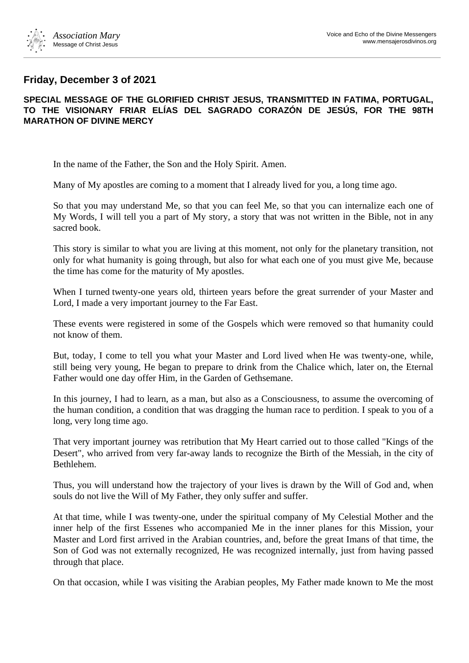

## **Friday, December 3 of 2021**

## **SPECIAL MESSAGE OF THE GLORIFIED CHRIST JESUS, TRANSMITTED IN FATIMA, PORTUGAL, TO THE VISIONARY FRIAR ELÍAS DEL SAGRADO CORAZÓN DE JESÚS, FOR THE 98TH MARATHON OF DIVINE MERCY**

In the name of the Father, the Son and the Holy Spirit. Amen.

Many of My apostles are coming to a moment that I already lived for you, a long time ago.

So that you may understand Me, so that you can feel Me, so that you can internalize each one of My Words, I will tell you a part of My story, a story that was not written in the Bible, not in any sacred book.

This story is similar to what you are living at this moment, not only for the planetary transition, not only for what humanity is going through, but also for what each one of you must give Me, because the time has come for the maturity of My apostles.

When I turned twenty-one years old, thirteen years before the great surrender of your Master and Lord, I made a very important journey to the Far East.

These events were registered in some of the Gospels which were removed so that humanity could not know of them.

But, today, I come to tell you what your Master and Lord lived when He was twenty-one, while, still being very young, He began to prepare to drink from the Chalice which, later on, the Eternal Father would one day offer Him, in the Garden of Gethsemane.

In this journey, I had to learn, as a man, but also as a Consciousness, to assume the overcoming of the human condition, a condition that was dragging the human race to perdition. I speak to you of a long, very long time ago.

That very important journey was retribution that My Heart carried out to those called "Kings of the Desert", who arrived from very far-away lands to recognize the Birth of the Messiah, in the city of Bethlehem.

Thus, you will understand how the trajectory of your lives is drawn by the Will of God and, when souls do not live the Will of My Father, they only suffer and suffer.

At that time, while I was twenty-one, under the spiritual company of My Celestial Mother and the inner help of the first Essenes who accompanied Me in the inner planes for this Mission, your Master and Lord first arrived in the Arabian countries, and, before the great Imans of that time, the Son of God was not externally recognized, He was recognized internally, just from having passed through that place.

On that occasion, while I was visiting the Arabian peoples, My Father made known to Me the most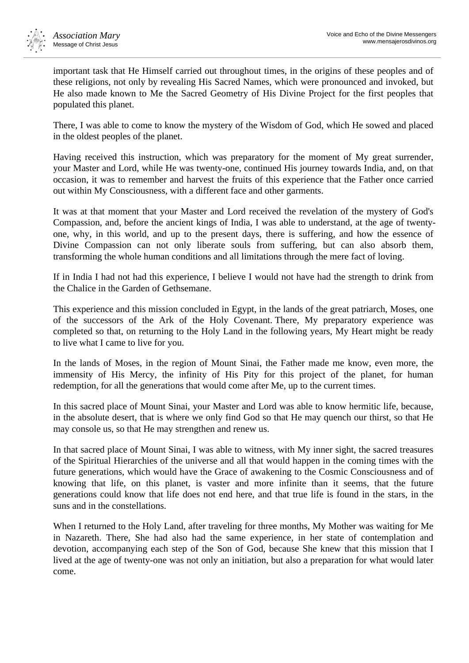

important task that He Himself carried out throughout times, in the origins of these peoples and of these religions, not only by revealing His Sacred Names, which were pronounced and invoked, but He also made known to Me the Sacred Geometry of His Divine Project for the first peoples that populated this planet.

There, I was able to come to know the mystery of the Wisdom of God, which He sowed and placed in the oldest peoples of the planet.

Having received this instruction, which was preparatory for the moment of My great surrender, your Master and Lord, while He was twenty-one, continued His journey towards India, and, on that occasion, it was to remember and harvest the fruits of this experience that the Father once carried out within My Consciousness, with a different face and other garments.

It was at that moment that your Master and Lord received the revelation of the mystery of God's Compassion, and, before the ancient kings of India, I was able to understand, at the age of twentyone, why, in this world, and up to the present days, there is suffering, and how the essence of Divine Compassion can not only liberate souls from suffering, but can also absorb them, transforming the whole human conditions and all limitations through the mere fact of loving.

If in India I had not had this experience, I believe I would not have had the strength to drink from the Chalice in the Garden of Gethsemane.

This experience and this mission concluded in Egypt, in the lands of the great patriarch, Moses, one of the successors of the Ark of the Holy Covenant. There, My preparatory experience was completed so that, on returning to the Holy Land in the following years, My Heart might be ready to live what I came to live for you.

In the lands of Moses, in the region of Mount Sinai, the Father made me know, even more, the immensity of His Mercy, the infinity of His Pity for this project of the planet, for human redemption, for all the generations that would come after Me, up to the current times.

In this sacred place of Mount Sinai, your Master and Lord was able to know hermitic life, because, in the absolute desert, that is where we only find God so that He may quench our thirst, so that He may console us, so that He may strengthen and renew us.

In that sacred place of Mount Sinai, I was able to witness, with My inner sight, the sacred treasures of the Spiritual Hierarchies of the universe and all that would happen in the coming times with the future generations, which would have the Grace of awakening to the Cosmic Consciousness and of knowing that life, on this planet, is vaster and more infinite than it seems, that the future generations could know that life does not end here, and that true life is found in the stars, in the suns and in the constellations.

When I returned to the Holy Land, after traveling for three months, My Mother was waiting for Me in Nazareth. There, She had also had the same experience, in her state of contemplation and devotion, accompanying each step of the Son of God, because She knew that this mission that I lived at the age of twenty-one was not only an initiation, but also a preparation for what would later come.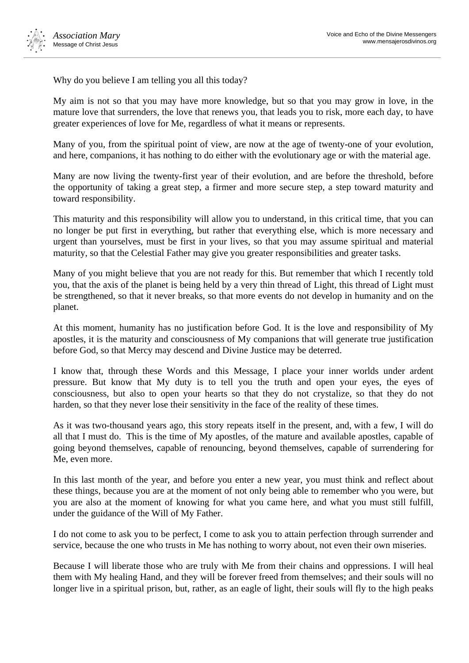

Why do you believe I am telling you all this today?

My aim is not so that you may have more knowledge, but so that you may grow in love, in the mature love that surrenders, the love that renews you, that leads you to risk, more each day, to have greater experiences of love for Me, regardless of what it means or represents.

Many of you, from the spiritual point of view, are now at the age of twenty-one of your evolution, and here, companions, it has nothing to do either with the evolutionary age or with the material age.

Many are now living the twenty-first year of their evolution, and are before the threshold, before the opportunity of taking a great step, a firmer and more secure step, a step toward maturity and toward responsibility.

This maturity and this responsibility will allow you to understand, in this critical time, that you can no longer be put first in everything, but rather that everything else, which is more necessary and urgent than yourselves, must be first in your lives, so that you may assume spiritual and material maturity, so that the Celestial Father may give you greater responsibilities and greater tasks.

Many of you might believe that you are not ready for this. But remember that which I recently told you, that the axis of the planet is being held by a very thin thread of Light, this thread of Light must be strengthened, so that it never breaks, so that more events do not develop in humanity and on the planet.

At this moment, humanity has no justification before God. It is the love and responsibility of My apostles, it is the maturity and consciousness of My companions that will generate true justification before God, so that Mercy may descend and Divine Justice may be deterred.

I know that, through these Words and this Message, I place your inner worlds under ardent pressure. But know that My duty is to tell you the truth and open your eyes, the eyes of consciousness, but also to open your hearts so that they do not crystalize, so that they do not harden, so that they never lose their sensitivity in the face of the reality of these times.

As it was two-thousand years ago, this story repeats itself in the present, and, with a few, I will do all that I must do. This is the time of My apostles, of the mature and available apostles, capable of going beyond themselves, capable of renouncing, beyond themselves, capable of surrendering for Me, even more.

In this last month of the year, and before you enter a new year, you must think and reflect about these things, because you are at the moment of not only being able to remember who you were, but you are also at the moment of knowing for what you came here, and what you must still fulfill, under the guidance of the Will of My Father.

I do not come to ask you to be perfect, I come to ask you to attain perfection through surrender and service, because the one who trusts in Me has nothing to worry about, not even their own miseries.

Because I will liberate those who are truly with Me from their chains and oppressions. I will heal them with My healing Hand, and they will be forever freed from themselves; and their souls will no longer live in a spiritual prison, but, rather, as an eagle of light, their souls will fly to the high peaks